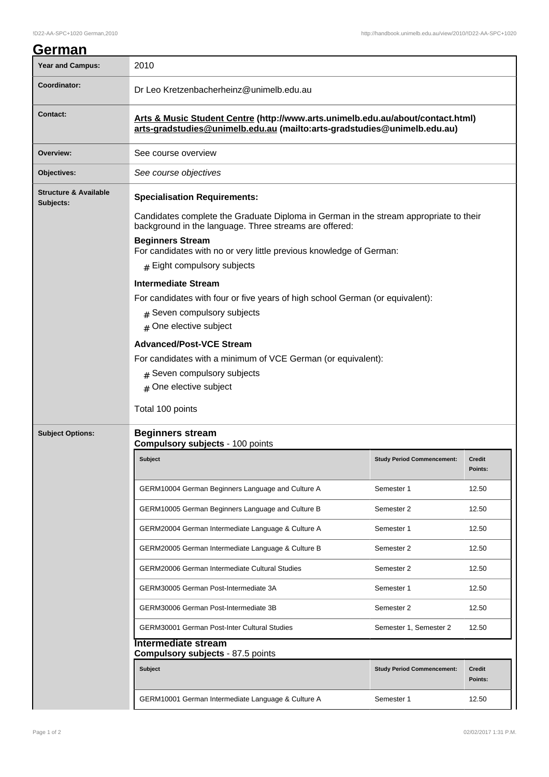## **German**

| <b>Year and Campus:</b>                       | 2010                                                                                                                                                                                                                                                                                                                      |                                   |                          |  |  |
|-----------------------------------------------|---------------------------------------------------------------------------------------------------------------------------------------------------------------------------------------------------------------------------------------------------------------------------------------------------------------------------|-----------------------------------|--------------------------|--|--|
| Coordinator:                                  | Dr Leo Kretzenbacherheinz@unimelb.edu.au                                                                                                                                                                                                                                                                                  |                                   |                          |  |  |
| Contact:                                      | Arts & Music Student Centre (http://www.arts.unimelb.edu.au/about/contact.html)<br>arts-gradstudies@unimelb.edu.au (mailto:arts-gradstudies@unimelb.edu.au)                                                                                                                                                               |                                   |                          |  |  |
| Overview:                                     | See course overview                                                                                                                                                                                                                                                                                                       |                                   |                          |  |  |
| Objectives:                                   | See course objectives                                                                                                                                                                                                                                                                                                     |                                   |                          |  |  |
| <b>Structure &amp; Available</b><br>Subjects: | <b>Specialisation Requirements:</b><br>Candidates complete the Graduate Diploma in German in the stream appropriate to their<br>background in the language. Three streams are offered:<br><b>Beginners Stream</b><br>For candidates with no or very little previous knowledge of German:<br>$#$ Eight compulsory subjects |                                   |                          |  |  |
|                                               |                                                                                                                                                                                                                                                                                                                           |                                   |                          |  |  |
|                                               |                                                                                                                                                                                                                                                                                                                           |                                   |                          |  |  |
|                                               | <b>Intermediate Stream</b>                                                                                                                                                                                                                                                                                                |                                   |                          |  |  |
|                                               | For candidates with four or five years of high school German (or equivalent):<br># Seven compulsory subjects<br># One elective subject<br><b>Advanced/Post-VCE Stream</b><br>For candidates with a minimum of VCE German (or equivalent):<br>$#$ Seven compulsory subjects                                                |                                   |                          |  |  |
|                                               |                                                                                                                                                                                                                                                                                                                           |                                   |                          |  |  |
|                                               |                                                                                                                                                                                                                                                                                                                           |                                   |                          |  |  |
|                                               |                                                                                                                                                                                                                                                                                                                           |                                   |                          |  |  |
|                                               | # One elective subject                                                                                                                                                                                                                                                                                                    |                                   |                          |  |  |
|                                               | Total 100 points                                                                                                                                                                                                                                                                                                          |                                   |                          |  |  |
| <b>Subject Options:</b>                       | <b>Beginners stream</b><br><b>Compulsory subjects - 100 points</b>                                                                                                                                                                                                                                                        |                                   |                          |  |  |
|                                               | Subject                                                                                                                                                                                                                                                                                                                   | <b>Study Period Commencement:</b> | <b>Credit</b><br>Points: |  |  |
|                                               | GERM10004 German Beginners Language and Culture A                                                                                                                                                                                                                                                                         | Semester 1                        | 12.50                    |  |  |
|                                               | GERM10005 German Beginners Language and Culture B                                                                                                                                                                                                                                                                         | Semester 2                        | 12.50                    |  |  |
|                                               | GERM20004 German Intermediate Language & Culture A                                                                                                                                                                                                                                                                        | Semester 1                        | 12.50                    |  |  |
|                                               | GERM20005 German Intermediate Language & Culture B                                                                                                                                                                                                                                                                        | Semester 2                        | 12.50                    |  |  |
|                                               | <b>GERM20006 German Intermediate Cultural Studies</b>                                                                                                                                                                                                                                                                     | Semester 2                        | 12.50                    |  |  |
|                                               | GERM30005 German Post-Intermediate 3A                                                                                                                                                                                                                                                                                     | Semester 1                        | 12.50                    |  |  |
|                                               | GERM30006 German Post-Intermediate 3B                                                                                                                                                                                                                                                                                     | Semester 2                        | 12.50                    |  |  |
|                                               | <b>GERM30001 German Post-Inter Cultural Studies</b>                                                                                                                                                                                                                                                                       | Semester 1, Semester 2            | 12.50                    |  |  |
|                                               | <b>Intermediate stream</b><br><b>Compulsory subjects - 87.5 points</b>                                                                                                                                                                                                                                                    |                                   |                          |  |  |
|                                               | Subject                                                                                                                                                                                                                                                                                                                   | <b>Study Period Commencement:</b> | <b>Credit</b><br>Points: |  |  |
|                                               | GERM10001 German Intermediate Language & Culture A                                                                                                                                                                                                                                                                        | Semester 1                        | 12.50                    |  |  |